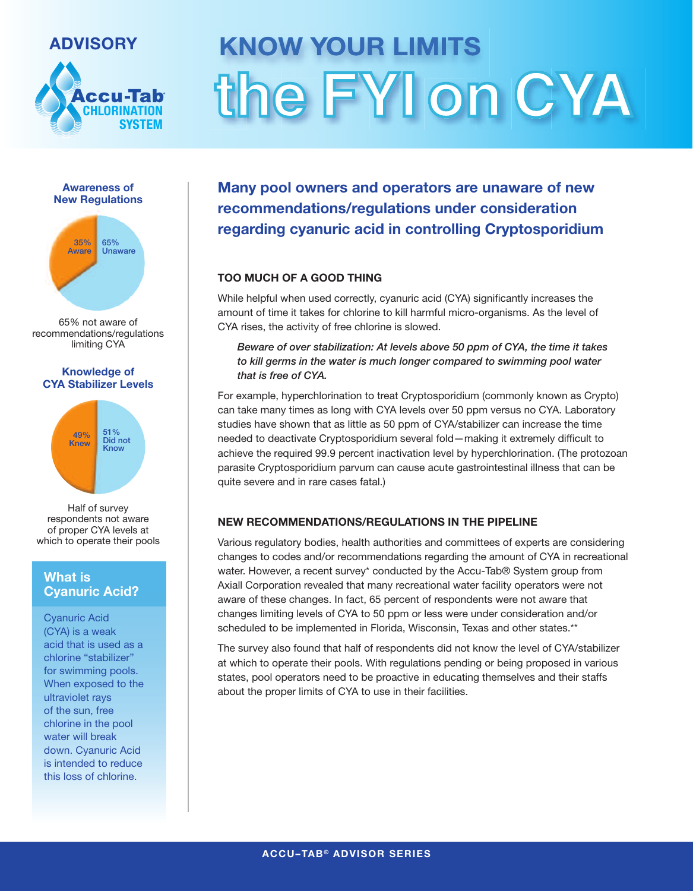# **ADVISORY**



# **KNOW YOUR LIMITS** the FYI on CYA





65% not aware of recommendations/regulations limiting CYA

#### **Knowledge of CYA Stabilizer Levels**



Half of survey respondents not aware of proper CYA levels at which to operate their pools

# **What is Cyanuric Acid?**

Cyanuric Acid (CYA) is a weak acid that is used as a chlorine "stabilizer" for swimming pools. When exposed to the ultraviolet rays of the sun, free chlorine in the pool water will break down. Cyanuric Acid is intended to reduce this loss of chlorine.

**Many pool owners and operators are unaware of new recommendations/regulations under consideration regarding cyanuric acid in controlling Cryptosporidium**

# **TOO MUCH OF A GOOD THING**

While helpful when used correctly, cyanuric acid (CYA) significantly increases the amount of time it takes for chlorine to kill harmful micro-organisms. As the level of CYA rises, the activity of free chlorine is slowed.

*Beware of over stabilization: At levels above 50 ppm of CYA, the time it takes to kill germs in the water is much longer compared to swimming pool water that is free of CYA.*

For example, hyperchlorination to treat Cryptosporidium (commonly known as Crypto) can take many times as long with CYA levels over 50 ppm versus no CYA. Laboratory studies have shown that as little as 50 ppm of CYA/stabilizer can increase the time needed to deactivate Cryptosporidium several fold—making it extremely difficult to achieve the required 99.9 percent inactivation level by hyperchlorination. (The protozoan parasite Cryptosporidium parvum can cause acute gastrointestinal illness that can be quite severe and in rare cases fatal.)

## **NEW RECOMMENDATIONS/REGULATIONS IN THE PIPELINE**

Various regulatory bodies, health authorities and committees of experts are considering changes to codes and/or recommendations regarding the amount of CYA in recreational water. However, a recent survey\* conducted by the Accu-Tab® System group from Axiall Corporation revealed that many recreational water facility operators were not aware of these changes. In fact, 65 percent of respondents were not aware that changes limiting levels of CYA to 50 ppm or less were under consideration and/or scheduled to be implemented in Florida, Wisconsin, Texas and other states.\*\*

The survey also found that half of respondents did not know the level of CYA/stabilizer at which to operate their pools. With regulations pending or being proposed in various states, pool operators need to be proactive in educating themselves and their staffs about the proper limits of CYA to use in their facilities.